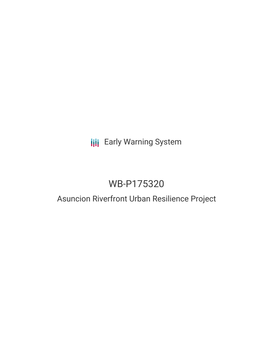# **III** Early Warning System

# WB-P175320

### Asuncion Riverfront Urban Resilience Project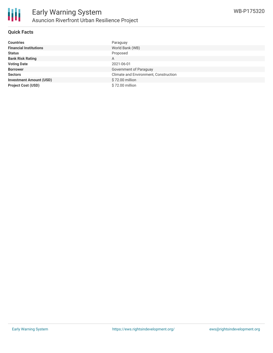

#### **Quick Facts**

| <b>Countries</b>               | Paraguay                              |
|--------------------------------|---------------------------------------|
| <b>Financial Institutions</b>  | World Bank (WB)                       |
| <b>Status</b>                  | Proposed                              |
| <b>Bank Risk Rating</b>        | A                                     |
| <b>Voting Date</b>             | 2021-06-01                            |
| <b>Borrower</b>                | Government of Paraguay                |
| <b>Sectors</b>                 | Climate and Environment, Construction |
| <b>Investment Amount (USD)</b> | \$72.00 million                       |
| <b>Project Cost (USD)</b>      | \$72.00 million                       |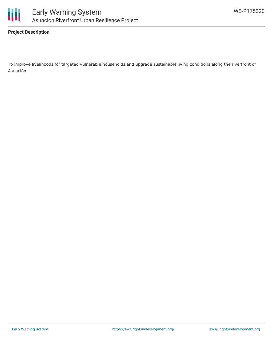

#### **Project Description**

To improve livelihoods for targeted vulnerable households and upgrade sustainable living conditions along the riverfront of Asunción .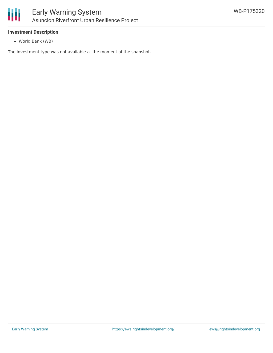

#### **Investment Description**

World Bank (WB)

The investment type was not available at the moment of the snapshot.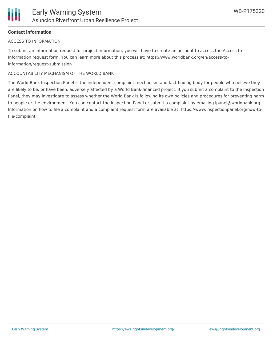

#### **Contact Information**

#### ACCESS TO INFORMATION

To submit an information request for project information, you will have to create an account to access the Access to Information request form. You can learn more about this process at: https://www.worldbank.org/en/access-toinformation/request-submission

#### ACCOUNTABILITY MECHANISM OF THE WORLD BANK

The World Bank Inspection Panel is the independent complaint mechanism and fact-finding body for people who believe they are likely to be, or have been, adversely affected by a World Bank-financed project. If you submit a complaint to the Inspection Panel, they may investigate to assess whether the World Bank is following its own policies and procedures for preventing harm to people or the environment. You can contact the Inspection Panel or submit a complaint by emailing ipanel@worldbank.org. Information on how to file a complaint and a complaint request form are available at: https://www.inspectionpanel.org/how-tofile-complaint